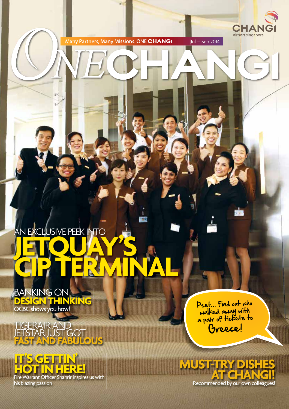CHAN airport singapore

Jul – Sep 2014

# AN EXCLUSIVE PEEK INTO<br>**JETLIQUAY CIP TErMINAL**

BANKING ON **DESIGN THINKING** OCBC shows you how!

TiGERAiR AND JETSTĂR JUST GOT **FAST AND FABULOUS**



Psst... Find out who walked away with a pair of tickets to Greece!



**ANTIFICATION**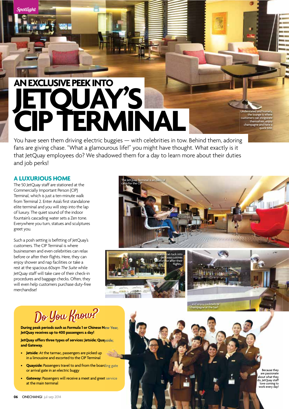# AN EXCLUSIVE PEEK INTO<br>JETQUAY'S **CIP TERMINAL**

You have seen them driving electric buggies — with celebrities in tow. Behind them, adoring fans are giving chase. "What a glamourous life!" you might have thought. What exactly is it that JetQuay employees do? We shadowed them for a day to learn more about their duties and job perks!

### **A LUXURIOUS HOME**

Spotliahl

The 50 JetQuay staff are stationed at the Commercially Important Person (CIP) Terminal, which is just a ten-minute walk from Terminal 2. Enter Asia's first standalone elite terminal and you will step into the lap of luxury. The quiet sound of the indoor fountain's cascading water sets a Zen tone. Everywhere you turn, statues and sculptures greet you.

Such a posh setting is befitting of JetQuay's customers. The CIP Terminal is where businessmen and even celebrities can relax before or after their flights. Here, they can enjoy shower and nap facilities or take a rest at the spacious 60sqm *The Suite* while JetQuay staff will take care of their check-in procedures and baggage checks. Often, they will even help customers purchase duty-free merchandise!







Understated and homely, the lounge is where customers can invigorate themselves, enjoy champagne and have a quick bite.

# Do You Know?

**During peak periods such as Formula 1 or Chinese New Year, JetQuay receives up to 400 passengers a day!** 

**JetQuay offers three types of services: Jetside; Quayside; and Gateway.** 

- **Jetside:** At the tarmac, passengers are picked up in a limousine and escorted to the CIP Terminal
- **Quayside:** Passengers travel to and from the boarding gate or arrival gate in an electric buggy
- **Gateway: Passengers will receive a meet and greet service** at the main terminal